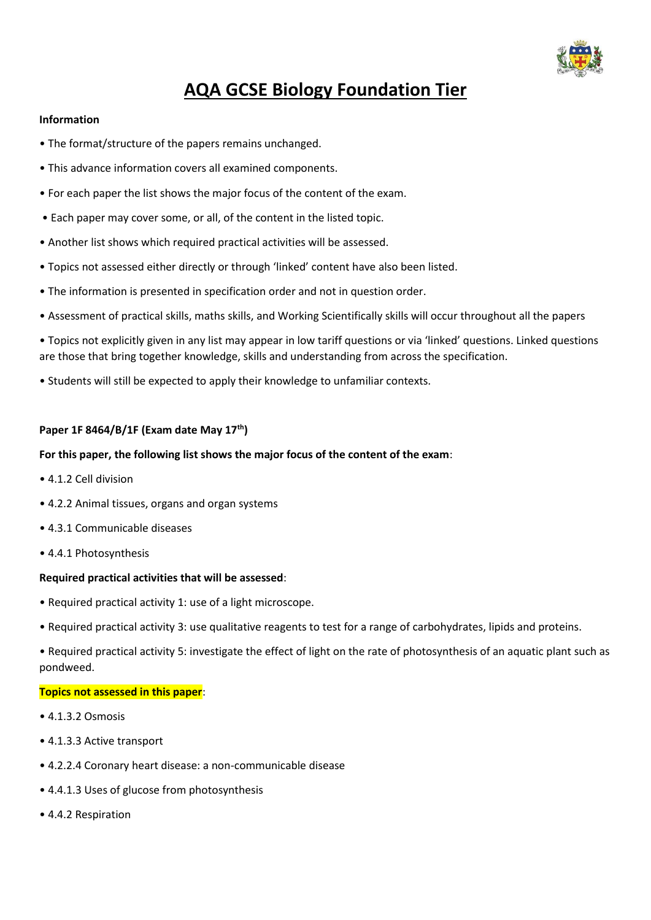

# **AQA GCSE Biology Foundation Tier**

#### **Information**

- The format/structure of the papers remains unchanged.
- This advance information covers all examined components.
- For each paper the list shows the major focus of the content of the exam.
- Each paper may cover some, or all, of the content in the listed topic.
- Another list shows which required practical activities will be assessed.
- Topics not assessed either directly or through 'linked' content have also been listed.
- The information is presented in specification order and not in question order.
- Assessment of practical skills, maths skills, and Working Scientifically skills will occur throughout all the papers
- Topics not explicitly given in any list may appear in low tariff questions or via 'linked' questions. Linked questions are those that bring together knowledge, skills and understanding from across the specification.
- Students will still be expected to apply their knowledge to unfamiliar contexts.

# **Paper 1F 8464/B/1F (Exam date May 17th)**

# **For this paper, the following list shows the major focus of the content of the exam**:

- 4.1.2 Cell division
- 4.2.2 Animal tissues, organs and organ systems
- 4.3.1 Communicable diseases
- 4.4.1 Photosynthesis

#### **Required practical activities that will be assessed**:

- Required practical activity 1: use of a light microscope.
- Required practical activity 3: use qualitative reagents to test for a range of carbohydrates, lipids and proteins.
- Required practical activity 5: investigate the effect of light on the rate of photosynthesis of an aquatic plant such as pondweed.

#### **Topics not assessed in this paper**:

- 4.1.3.2 Osmosis
- 4.1.3.3 Active transport
- 4.2.2.4 Coronary heart disease: a non-communicable disease
- 4.4.1.3 Uses of glucose from photosynthesis
- 4.4.2 Respiration